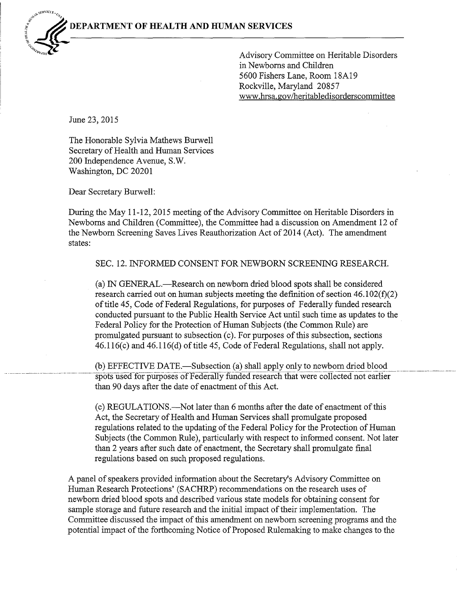

~ Advisory Committee on Heritable Disorders in Newborns and Children 5600 Fishers Lane, Room 18A19 Rockville, Maryland 20857 www.hrsa.gov/heritabledisorderscommittee

June 23, 2015

The Honorable Sylvia Mathews Burwell Secretary of Health and Human Services 200 Independence Avenue, S.W. Washington, DC 20201

Dear Secretary Burwell:

During the May 11-12, 2015 meeting of the Advisory Committee on Heritable Disorders in Newborns and Children (Committee), the Committee had a discussion on Amendment 12 of the Newborn Screening Saves Lives Reauthorization Act of 2014 (Act). The amendment states:

SEC. 12. INFORMED CONSENT FOR NEWBORN SCREENING RESEARCH.

(a) IN GENERAL-Research on newborn dried blood spots shall be considered research carried out on human subjects meeting the definition of section  $46.102(f)(2)$ of title 45, Code of Federal Regulations, for purposes of Federally funded research conducted pursuant to the Public Health Service Act until such time as updates to the Federal Policy for the Protection of Human Subjects (the Common Rule) are promulgated pursuant to subsection (c). For purposes of this subsection, sections  $46.116(c)$  and  $46.116(d)$  of title 45, Code of Federal Regulations, shall not apply.

(b) EFFECTIVE DATE.—Subsection (a) shall apply only to newborn dried blood spots used for purposes of Federally funded research that were collected not earlier than 90 days after the date of enactment of this Act.

(c) REGULATIONS.-Not later than 6 months after the date of enactment ofthis Act, the Secretary of Health and Human Services shall promulgate proposed regulations related to the updating of the Federal Policy for the Protection of Human Subjects (the Common Rule), particularly with respect to informed consent. Not later than 2 years after such date of enactment, the Secretary shall promulgate final regulations based on such proposed regulations.

A panel of speakers provided information about the Secretary's Advisory Committee on Human Research Protections' (SACHRP) recommendations on the research uses of newborn dried blood spots and described various state models for obtaining consent for sample storage and future research and the initial impact of their implementation. The Committee discussed the impact of this amendment on newborn screening programs and the potential impact of the forthcoming Notice of Proposed Rulemaking to make changes to the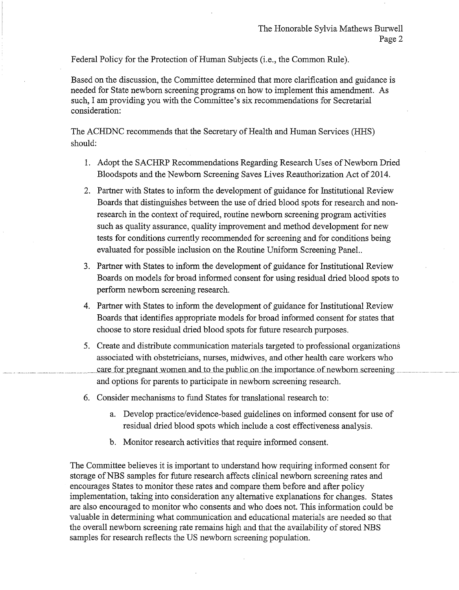Federal Policy for the Protection of Human Subjects (i.e., the Common Rule).

Based on the discussion, the Committee determined that more clarification and guidance is needed for State newborn screening programs on how to implement this amendment. As such, I am providing you with the Committee's six recommendations for Secretarial consideration:

The ACHDNC recommends that the Secretary of Health and Human Services (HHS) should:

- 1. Adopt the SACHRP Recommendations Regarding Research Uses of Newborn Dried Bloodspots and the Newborn Screening Saves Lives Reauthorization Act of 2014.
- 2. Partner with States to inform the development of guidance for Institutional Review Boards that distinguishes between the use of dried blood spots for research and nonresearch in the context of required, routine newborn screening program activities such as quality assurance, quality improvement and method development for new tests for conditions currently recommended for screening and for conditions being evaluated for possible inclusion on the Routine Uniform Screening Panel..
- 3. Partner with States to inform the development of guidance for Institutional Review Boards on models for broad informed consent for using residual dried blood spots to perform newborn screening research.
- 4. Partner with States to inform the development of guidance for Institutional Review Boards that identifies appropriate models for broad informed consent for states that choose to store residual dried blood spots for future research purposes.
- 5. Create and distribute communication materials targeted to professional organizations associated with obstetricians, nurses, midwives, and other health care workers who care for pregnant women and to the public on the importance of newborn screening and options for parents to participate in newborn screening research.
- 6. Consider mechanisms to fund States for translational research to:
	- a. Develop practice/evidence-based guidelines on informed consent for use of residual dried blood spots which include a cost effectiveness analysis.
	- b. Monitor research activities that require informed consent.

The Committee believes it is important to understand how requiring informed consent for storage of NBS samples for future research affects clinical newborn screening rates and encourages States to monitor these rates and compare them before and after policy implementation, taking into consideration any alternative explanations for changes. States are also encouraged to monitor who consents and who does not. This information could be valuable in determining what communication and educational materials are needed so that the overall newborn screening rate remains high and that the availability of stored NBS samples for research reflects the US newborn screening population.